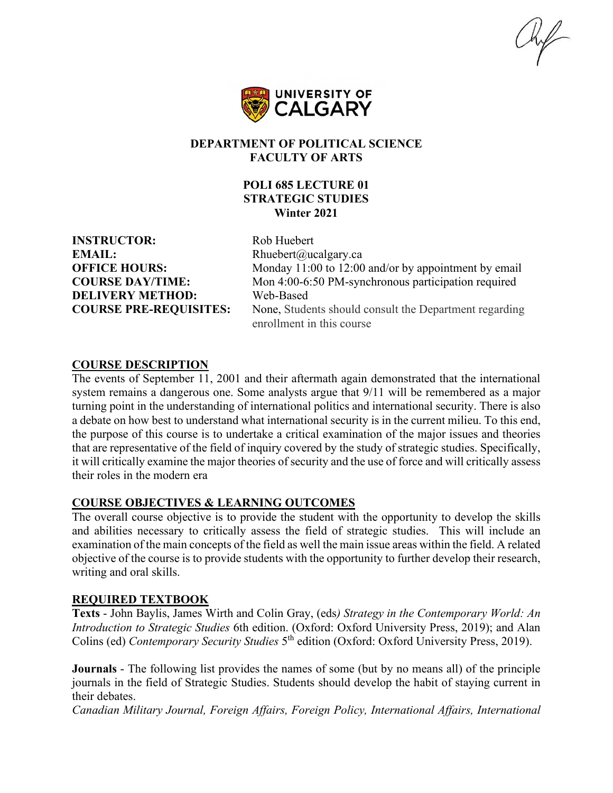hif



#### **DEPARTMENT OF POLITICAL SCIENCE FACULTY OF ARTS**

# **POLI 685 LECTURE 01 STRATEGIC STUDIES Winter 2021**

**INSTRUCTOR:** Rob Huebert **EMAIL:** Rhuebert@ucalgary.ca **DELIVERY METHOD:** Web-Based

**OFFICE HOURS:** Monday 11:00 to 12:00 and/or by appointment by email **COURSE DAY/TIME:** Mon 4:00-6:50 PM-synchronous participation required **COURSE PRE-REQUISITES:** None, Students should consult the Department regarding enrollment in this course

#### **COURSE DESCRIPTION**

The events of September 11, 2001 and their aftermath again demonstrated that the international system remains a dangerous one. Some analysts argue that 9/11 will be remembered as a major turning point in the understanding of international politics and international security. There is also a debate on how best to understand what international security is in the current milieu. To this end, the purpose of this course is to undertake a critical examination of the major issues and theories that are representative of the field of inquiry covered by the study of strategic studies. Specifically, it will critically examine the major theories of security and the use of force and will critically assess their roles in the modern era

#### **COURSE OBJECTIVES & LEARNING OUTCOMES**

The overall course objective is to provide the student with the opportunity to develop the skills and abilities necessary to critically assess the field of strategic studies. This will include an examination of the main concepts of the field as well the main issue areas within the field. A related objective of the course is to provide students with the opportunity to further develop their research, writing and oral skills.

# **REQUIRED TEXTBOOK**

**Texts** - John Baylis, James Wirth and Colin Gray, (eds*) Strategy in the Contemporary World: An Introduction to Strategic Studies* 6th edition. (Oxford: Oxford University Press, 2019); and Alan Colins (ed) *Contemporary Security Studies* 5th edition (Oxford: Oxford University Press, 2019).

**Journals** - The following list provides the names of some (but by no means all) of the principle journals in the field of Strategic Studies. Students should develop the habit of staying current in their debates.

*Canadian Military Journal, Foreign Affairs, Foreign Policy, International Affairs, International*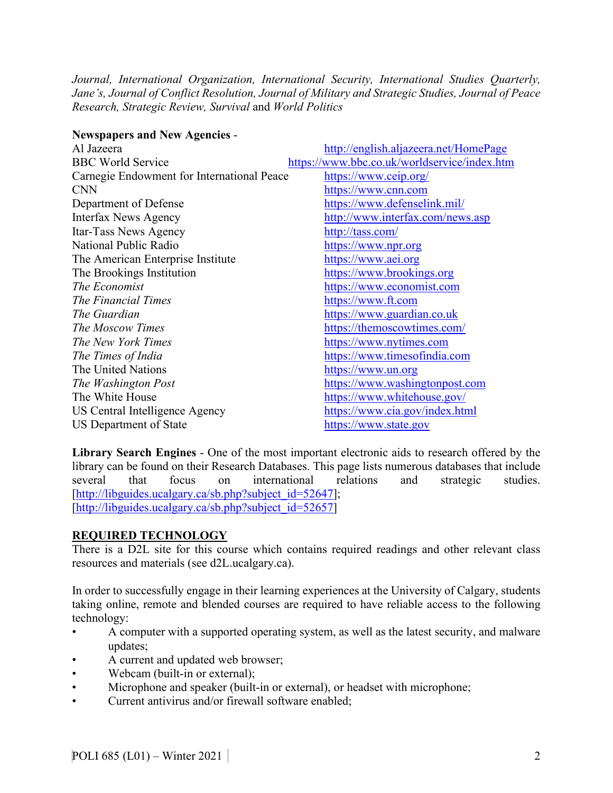*Journal, International Organization, International Security, International Studies Quarterly, Jane's, Journal of Conflict Resolution, Journal of Military and Strategic Studies, Journal of Peace Research, Strategic Review, Survival* and *World Politics*

| <b>Newspapers and New Agencies -</b>       |                                              |
|--------------------------------------------|----------------------------------------------|
| Al Jazeera                                 | http://english.aljazeera.net/HomePage        |
| <b>BBC World Service</b>                   | https://www.bbc.co.uk/worldservice/index.htm |
| Carnegie Endowment for International Peace | https://www.ceip.org/                        |
| <b>CNN</b>                                 | https://www.cnn.com                          |
| Department of Defense                      | https://www.defenselink.mil/                 |
| <b>Interfax News Agency</b>                | http://www.interfax.com/news.asp             |
| Itar-Tass News Agency                      | http://tass.com/                             |
| National Public Radio                      | https://www.npr.org                          |
| The American Enterprise Institute          | https://www.aei.org                          |
| The Brookings Institution                  | https://www.brookings.org                    |
| The Economist                              | https://www.economist.com                    |
| The Financial Times                        | https://www.ft.com                           |
| The Guardian                               | https://www.guardian.co.uk                   |
| The Moscow Times                           | https://themoscowtimes.com/                  |
| The New York Times                         | https://www.nytimes.com                      |
| The Times of India                         | https://www.timesofindia.com                 |
| The United Nations                         | https://www.un.org                           |
| The Washington Post                        | https://www.washingtonpost.com               |
| The White House                            | https://www.whitehouse.gov/                  |
| US Central Intelligence Agency             | https://www.cia.gov/index.html               |
| <b>US Department of State</b>              | https://www.state.gov                        |

**Library Search Engines** - One of the most important electronic aids to research offered by the library can be found on their Research Databases. This page lists numerous databases that include several that focus on international relations and strategic studies. [\[http://libguides.ucalgary.ca/sb.php?subject\\_id=52647\]](http://libguides.ucalgary.ca/sb.php?subject_id=52647); [\[http://libguides.ucalgary.ca/sb.php?subject\\_id=52657\]](http://libguides.ucalgary.ca/sb.php?subject_id=52657)

# **REQUIRED TECHNOLOGY**

There is a D2L site for this course which contains required readings and other relevant class resources and materials (see d2L.ucalgary.ca).

In order to successfully engage in their learning experiences at the University of Calgary, students taking online, remote and blended courses are required to have reliable access to the following technology:

- A computer with a supported operating system, as well as the latest security, and malware updates;
- A current and updated web browser;
- Webcam (built-in or external);
- Microphone and speaker (built-in or external), or headset with microphone;
- Current antivirus and/or firewall software enabled;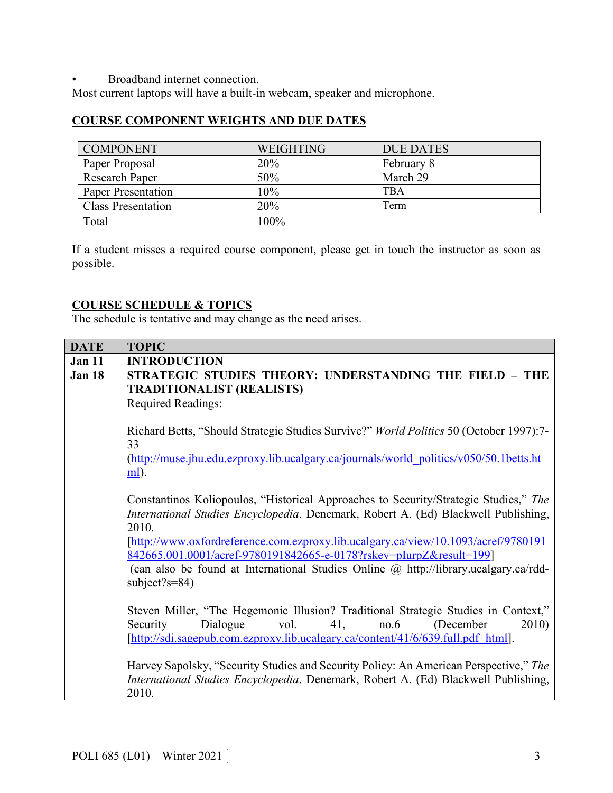• Broadband internet connection.

Most current laptops will have a built-in webcam, speaker and microphone.

# **COURSE COMPONENT WEIGHTS AND DUE DATES**

| <b>COMPONENT</b>          | <b>WEIGHTING</b> | <b>DUE DATES</b> |
|---------------------------|------------------|------------------|
| Paper Proposal            | 20%              | February 8       |
| Research Paper            | 50%              | March 29         |
| <b>Paper Presentation</b> | 10%              | <b>TBA</b>       |
| <b>Class Presentation</b> | 20%              | Term             |
| Total                     | 100%             |                  |

If a student misses a required course component, please get in touch the instructor as soon as possible.

# **COURSE SCHEDULE & TOPICS**

The schedule is tentative and may change as the need arises.

| <b>DATE</b>   | <b>TOPIC</b>                                                                                                                                                                                                                                |  |  |  |  |  |  |  |
|---------------|---------------------------------------------------------------------------------------------------------------------------------------------------------------------------------------------------------------------------------------------|--|--|--|--|--|--|--|
| <b>Jan 11</b> | <b>INTRODUCTION</b>                                                                                                                                                                                                                         |  |  |  |  |  |  |  |
| <b>Jan 18</b> | STRATEGIC STUDIES THEORY: UNDERSTANDING THE FIELD - THE<br><b>TRADITIONALIST (REALISTS)</b><br><b>Required Readings:</b>                                                                                                                    |  |  |  |  |  |  |  |
|               | Richard Betts, "Should Strategic Studies Survive?" World Politics 50 (October 1997):7-<br>33                                                                                                                                                |  |  |  |  |  |  |  |
|               | (http://muse.jhu.edu.ezproxy.lib.ucalgary.ca/journals/world_politics/v050/50.1betts.ht<br><u>ml</u> ).                                                                                                                                      |  |  |  |  |  |  |  |
|               | Constantinos Koliopoulos, "Historical Approaches to Security/Strategic Studies," The<br>International Studies Encyclopedia. Denemark, Robert A. (Ed) Blackwell Publishing,<br>2010.                                                         |  |  |  |  |  |  |  |
|               | [http://www.oxfordreference.com.ezproxy.lib.ucalgary.ca/view/10.1093/acref/9780191<br>842665.001.0001/acref-9780191842665-e-0178?rskey=pIurpZ&result=199]                                                                                   |  |  |  |  |  |  |  |
|               | (can also be found at International Studies Online @ http://library.ucalgary.ca/rdd-<br>subject?s= $84$ )                                                                                                                                   |  |  |  |  |  |  |  |
|               | Steven Miller, "The Hegemonic Illusion? Traditional Strategic Studies in Context,"<br>Security<br>vol.<br>41,<br>2010)<br>Dialogue<br>no.6<br>(December<br>[http://sdi.sagepub.com.ezproxy.lib.ucalgary.ca/content/41/6/639.full.pdf+html]. |  |  |  |  |  |  |  |
|               | Harvey Sapolsky, "Security Studies and Security Policy: An American Perspective," The<br>International Studies Encyclopedia. Denemark, Robert A. (Ed) Blackwell Publishing,<br>2010.                                                        |  |  |  |  |  |  |  |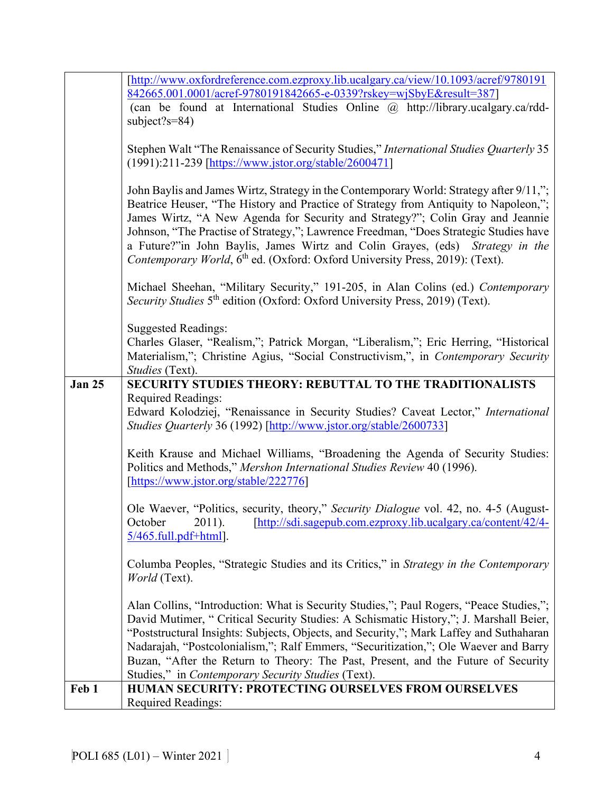|               | [http://www.oxfordreference.com.ezproxy.lib.ucalgary.ca/view/10.1093/acref/9780191<br>842665.001.0001/acref-9780191842665-e-0339?rskey=wjSbyE&result=387] |  |  |  |  |  |  |  |  |
|---------------|-----------------------------------------------------------------------------------------------------------------------------------------------------------|--|--|--|--|--|--|--|--|
|               |                                                                                                                                                           |  |  |  |  |  |  |  |  |
|               | (can be found at International Studies Online @ http://library.ucalgary.ca/rdd-                                                                           |  |  |  |  |  |  |  |  |
|               | subject?s= $84$ )                                                                                                                                         |  |  |  |  |  |  |  |  |
|               |                                                                                                                                                           |  |  |  |  |  |  |  |  |
|               | Stephen Walt "The Renaissance of Security Studies," International Studies Quarterly 35                                                                    |  |  |  |  |  |  |  |  |
|               | (1991):211-239 [https://www.jstor.org/stable/2600471]                                                                                                     |  |  |  |  |  |  |  |  |
|               |                                                                                                                                                           |  |  |  |  |  |  |  |  |
|               | John Baylis and James Wirtz, Strategy in the Contemporary World: Strategy after 9/11,";                                                                   |  |  |  |  |  |  |  |  |
|               | Beatrice Heuser, "The History and Practice of Strategy from Antiquity to Napoleon,";                                                                      |  |  |  |  |  |  |  |  |
|               | James Wirtz, "A New Agenda for Security and Strategy?"; Colin Gray and Jeannie                                                                            |  |  |  |  |  |  |  |  |
|               | Johnson, "The Practise of Strategy,"; Lawrence Freedman, "Does Strategic Studies have                                                                     |  |  |  |  |  |  |  |  |
|               | a Future?"in John Baylis, James Wirtz and Colin Grayes, (eds) Strategy in the                                                                             |  |  |  |  |  |  |  |  |
|               | Contemporary World, 6 <sup>th</sup> ed. (Oxford: Oxford University Press, 2019): (Text).                                                                  |  |  |  |  |  |  |  |  |
|               |                                                                                                                                                           |  |  |  |  |  |  |  |  |
|               | Michael Sheehan, "Military Security," 191-205, in Alan Colins (ed.) Contemporary                                                                          |  |  |  |  |  |  |  |  |
|               | Security Studies 5 <sup>th</sup> edition (Oxford: Oxford University Press, 2019) (Text).                                                                  |  |  |  |  |  |  |  |  |
|               |                                                                                                                                                           |  |  |  |  |  |  |  |  |
|               | <b>Suggested Readings:</b>                                                                                                                                |  |  |  |  |  |  |  |  |
|               | Charles Glaser, "Realism,"; Patrick Morgan, "Liberalism,"; Eric Herring, "Historical                                                                      |  |  |  |  |  |  |  |  |
|               | Materialism,"; Christine Agius, "Social Constructivism,", in Contemporary Security                                                                        |  |  |  |  |  |  |  |  |
|               | Studies (Text).                                                                                                                                           |  |  |  |  |  |  |  |  |
| <b>Jan 25</b> | SECURITY STUDIES THEORY: REBUTTAL TO THE TRADITIONALISTS                                                                                                  |  |  |  |  |  |  |  |  |
|               | <b>Required Readings:</b>                                                                                                                                 |  |  |  |  |  |  |  |  |
|               | Edward Kolodziej, "Renaissance in Security Studies? Caveat Lector," International                                                                         |  |  |  |  |  |  |  |  |
|               | Studies Quarterly 36 (1992) [http://www.jstor.org/stable/2600733]                                                                                         |  |  |  |  |  |  |  |  |
|               |                                                                                                                                                           |  |  |  |  |  |  |  |  |
|               | Keith Krause and Michael Williams, "Broadening the Agenda of Security Studies:                                                                            |  |  |  |  |  |  |  |  |
|               | Politics and Methods," Mershon International Studies Review 40 (1996).                                                                                    |  |  |  |  |  |  |  |  |
|               | [https://www.jstor.org/stable/222776]                                                                                                                     |  |  |  |  |  |  |  |  |
|               |                                                                                                                                                           |  |  |  |  |  |  |  |  |
|               | Ole Waever, "Politics, security, theory," Security Dialogue vol. 42, no. 4-5 (August-                                                                     |  |  |  |  |  |  |  |  |
|               | October<br>2011).<br>[http://sdi.sagepub.com.ezproxy.lib.ucalgary.ca/content/42/4-                                                                        |  |  |  |  |  |  |  |  |
|               | 5/465.full.pdf+html].                                                                                                                                     |  |  |  |  |  |  |  |  |
|               |                                                                                                                                                           |  |  |  |  |  |  |  |  |
|               | Columba Peoples, "Strategic Studies and its Critics," in Strategy in the Contemporary                                                                     |  |  |  |  |  |  |  |  |
|               | World (Text).                                                                                                                                             |  |  |  |  |  |  |  |  |
|               |                                                                                                                                                           |  |  |  |  |  |  |  |  |
|               | Alan Collins, "Introduction: What is Security Studies,"; Paul Rogers, "Peace Studies,";                                                                   |  |  |  |  |  |  |  |  |
|               | David Mutimer, "Critical Security Studies: A Schismatic History,"; J. Marshall Beier,                                                                     |  |  |  |  |  |  |  |  |
|               | "Poststructural Insights: Subjects, Objects, and Security,"; Mark Laffey and Suthaharan                                                                   |  |  |  |  |  |  |  |  |
|               | Nadarajah, "Postcolonialism,"; Ralf Emmers, "Securitization,"; Ole Waever and Barry                                                                       |  |  |  |  |  |  |  |  |
|               |                                                                                                                                                           |  |  |  |  |  |  |  |  |
|               | Buzan, "After the Return to Theory: The Past, Present, and the Future of Security                                                                         |  |  |  |  |  |  |  |  |
|               | Studies," in Contemporary Security Studies (Text).                                                                                                        |  |  |  |  |  |  |  |  |
| Feb 1         | <b>HUMAN SECURITY: PROTECTING OURSELVES FROM OURSELVES</b>                                                                                                |  |  |  |  |  |  |  |  |
|               | <b>Required Readings:</b>                                                                                                                                 |  |  |  |  |  |  |  |  |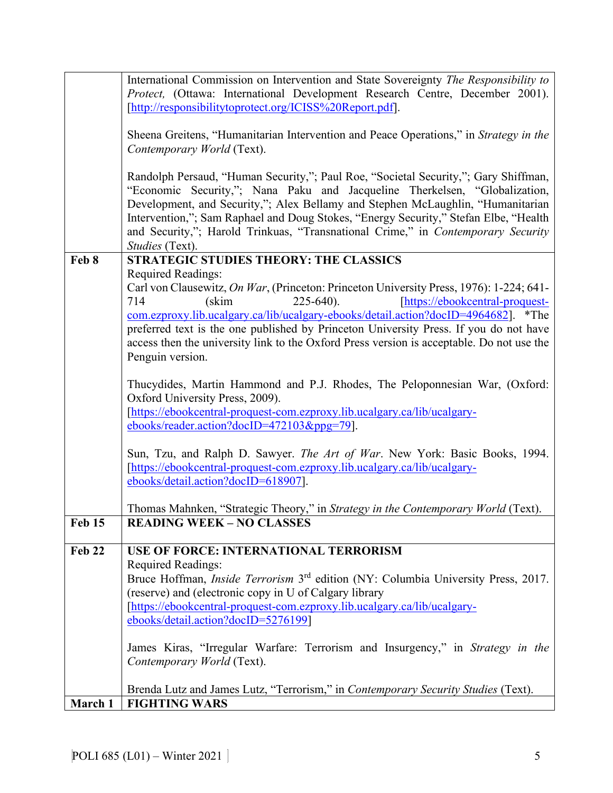|               | International Commission on Intervention and State Sovereignty The Responsibility to                                 |  |  |  |  |  |
|---------------|----------------------------------------------------------------------------------------------------------------------|--|--|--|--|--|
|               | Protect, (Ottawa: International Development Research Centre, December 2001).                                         |  |  |  |  |  |
|               | [http://responsibilitytoprotect.org/ICISS%20Report.pdf].                                                             |  |  |  |  |  |
|               |                                                                                                                      |  |  |  |  |  |
|               | Sheena Greitens, "Humanitarian Intervention and Peace Operations," in Strategy in the                                |  |  |  |  |  |
|               | Contemporary World (Text).                                                                                           |  |  |  |  |  |
|               |                                                                                                                      |  |  |  |  |  |
|               | Randolph Persaud, "Human Security,"; Paul Roe, "Societal Security,"; Gary Shiffman,                                  |  |  |  |  |  |
|               | "Economic Security,"; Nana Paku and Jacqueline Therkelsen, "Globalization,                                           |  |  |  |  |  |
|               | Development, and Security,"; Alex Bellamy and Stephen McLaughlin, "Humanitarian                                      |  |  |  |  |  |
|               | Intervention,"; Sam Raphael and Doug Stokes, "Energy Security," Stefan Elbe, "Health                                 |  |  |  |  |  |
|               | and Security,"; Harold Trinkuas, "Transnational Crime," in Contemporary Security                                     |  |  |  |  |  |
|               | Studies (Text).<br><b>STRATEGIC STUDIES THEORY: THE CLASSICS</b>                                                     |  |  |  |  |  |
| Feb 8         |                                                                                                                      |  |  |  |  |  |
|               | <b>Required Readings:</b><br>Carl von Clausewitz, On War, (Princeton: Princeton University Press, 1976): 1-224; 641- |  |  |  |  |  |
|               | 714<br>$225 - 640$ ).<br>[https://ebookcentral-proquest-<br>(skim                                                    |  |  |  |  |  |
|               | com.ezproxy.lib.ucalgary.ca/lib/ucalgary-ebooks/detail.action?docID=4964682]. *The                                   |  |  |  |  |  |
|               | preferred text is the one published by Princeton University Press. If you do not have                                |  |  |  |  |  |
|               | access then the university link to the Oxford Press version is acceptable. Do not use the                            |  |  |  |  |  |
|               | Penguin version.                                                                                                     |  |  |  |  |  |
|               |                                                                                                                      |  |  |  |  |  |
|               | Thucydides, Martin Hammond and P.J. Rhodes, The Peloponnesian War, (Oxford:                                          |  |  |  |  |  |
|               | Oxford University Press, 2009).                                                                                      |  |  |  |  |  |
|               | [https://ebookcentral-proquest-com.ezproxy.lib.ucalgary.ca/lib/ucalgary-                                             |  |  |  |  |  |
|               | ebooks/reader.action?docID=472103&ppg=79].                                                                           |  |  |  |  |  |
|               |                                                                                                                      |  |  |  |  |  |
|               | Sun, Tzu, and Ralph D. Sawyer. The Art of War. New York: Basic Books, 1994.                                          |  |  |  |  |  |
|               | [https://ebookcentral-proquest-com.ezproxy.lib.ucalgary.ca/lib/ucalgary-                                             |  |  |  |  |  |
|               | ebooks/detail.action?docID=618907].                                                                                  |  |  |  |  |  |
|               |                                                                                                                      |  |  |  |  |  |
|               | Thomas Mahnken, "Strategic Theory," in Strategy in the Contemporary World (Text).                                    |  |  |  |  |  |
| <b>Feb 15</b> | <b>READING WEEK - NO CLASSES</b>                                                                                     |  |  |  |  |  |
| <b>Feb 22</b> | USE OF FORCE: INTERNATIONAL TERRORISM                                                                                |  |  |  |  |  |
|               | Required Readings:                                                                                                   |  |  |  |  |  |
|               | Bruce Hoffman, <i>Inside Terrorism</i> 3 <sup>rd</sup> edition (NY: Columbia University Press, 2017.                 |  |  |  |  |  |
|               | (reserve) and (electronic copy in U of Calgary library                                                               |  |  |  |  |  |
|               | [https://ebookcentral-proquest-com.ezproxy.lib.ucalgary.ca/lib/ucalgary-                                             |  |  |  |  |  |
|               | ebooks/detail.action?docID=5276199]                                                                                  |  |  |  |  |  |
|               |                                                                                                                      |  |  |  |  |  |
|               | James Kiras, "Irregular Warfare: Terrorism and Insurgency," in Strategy in the                                       |  |  |  |  |  |
|               | Contemporary World (Text).                                                                                           |  |  |  |  |  |
|               |                                                                                                                      |  |  |  |  |  |
|               | Brenda Lutz and James Lutz, "Terrorism," in Contemporary Security Studies (Text).                                    |  |  |  |  |  |
| March 1       | <b>FIGHTING WARS</b>                                                                                                 |  |  |  |  |  |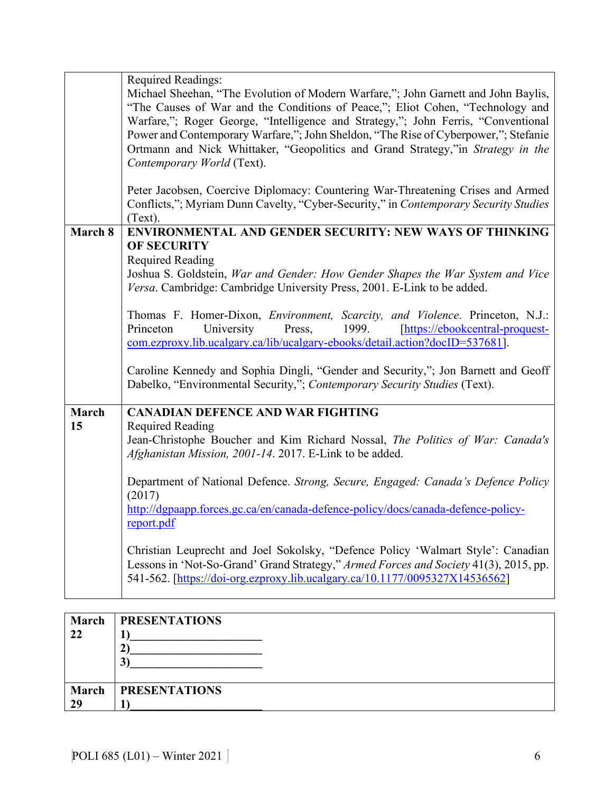|         | Required Readings:                                                                                                                                                            |  |  |  |  |  |  |  |  |
|---------|-------------------------------------------------------------------------------------------------------------------------------------------------------------------------------|--|--|--|--|--|--|--|--|
|         | Michael Sheehan, "The Evolution of Modern Warfare,"; John Garnett and John Baylis,<br>"The Causes of War and the Conditions of Peace,"; Eliot Cohen, "Technology and          |  |  |  |  |  |  |  |  |
|         | Warfare,"; Roger George, "Intelligence and Strategy,"; John Ferris, "Conventional                                                                                             |  |  |  |  |  |  |  |  |
|         | Power and Contemporary Warfare,"; John Sheldon, "The Rise of Cyberpower,"; Stefanie<br>Ortmann and Nick Whittaker, "Geopolitics and Grand Strategy,"in Strategy in the        |  |  |  |  |  |  |  |  |
|         | Contemporary World (Text).                                                                                                                                                    |  |  |  |  |  |  |  |  |
|         |                                                                                                                                                                               |  |  |  |  |  |  |  |  |
|         | Peter Jacobsen, Coercive Diplomacy: Countering War-Threatening Crises and Armed                                                                                               |  |  |  |  |  |  |  |  |
|         | Conflicts,"; Myriam Dunn Cavelty, "Cyber-Security," in Contemporary Security Studies<br>(Text).                                                                               |  |  |  |  |  |  |  |  |
| March 8 | ENVIRONMENTAL AND GENDER SECURITY: NEW WAYS OF THINKING                                                                                                                       |  |  |  |  |  |  |  |  |
|         | <b>OF SECURITY</b>                                                                                                                                                            |  |  |  |  |  |  |  |  |
|         | <b>Required Reading</b><br>Joshua S. Goldstein, War and Gender: How Gender Shapes the War System and Vice                                                                     |  |  |  |  |  |  |  |  |
|         | Versa. Cambridge: Cambridge University Press, 2001. E-Link to be added.                                                                                                       |  |  |  |  |  |  |  |  |
|         |                                                                                                                                                                               |  |  |  |  |  |  |  |  |
|         | Thomas F. Homer-Dixon, <i>Environment</i> , <i>Scarcity</i> , and Violence. Princeton, N.J.:<br>Princeton<br>University<br>Press,<br>1999.<br>[https://ebookcentral-proquest- |  |  |  |  |  |  |  |  |
|         | com.ezproxy.lib.ucalgary.ca/lib/ucalgary-ebooks/detail.action?docID=537681].                                                                                                  |  |  |  |  |  |  |  |  |
|         |                                                                                                                                                                               |  |  |  |  |  |  |  |  |
|         | Caroline Kennedy and Sophia Dingli, "Gender and Security,"; Jon Barnett and Geoff<br>Dabelko, "Environmental Security,"; Contemporary Security Studies (Text).                |  |  |  |  |  |  |  |  |
|         |                                                                                                                                                                               |  |  |  |  |  |  |  |  |
| March   | <b>CANADIAN DEFENCE AND WAR FIGHTING</b>                                                                                                                                      |  |  |  |  |  |  |  |  |
| 15      | <b>Required Reading</b><br>Jean-Christophe Boucher and Kim Richard Nossal, The Politics of War: Canada's                                                                      |  |  |  |  |  |  |  |  |
|         | Afghanistan Mission, 2001-14. 2017. E-Link to be added.                                                                                                                       |  |  |  |  |  |  |  |  |
|         |                                                                                                                                                                               |  |  |  |  |  |  |  |  |
|         | Department of National Defence. Strong, Secure, Engaged: Canada's Defence Policy<br>(2017)                                                                                    |  |  |  |  |  |  |  |  |
|         | http://dgpaapp.forces.gc.ca/en/canada-defence-policy/docs/canada-defence-policy-                                                                                              |  |  |  |  |  |  |  |  |
|         | report.pdf                                                                                                                                                                    |  |  |  |  |  |  |  |  |
|         | Christian Leuprecht and Joel Sokolsky, "Defence Policy 'Walmart Style': Canadian                                                                                              |  |  |  |  |  |  |  |  |
|         | Lessons in 'Not-So-Grand' Grand Strategy," Armed Forces and Society 41(3), 2015, pp.                                                                                          |  |  |  |  |  |  |  |  |
|         | 541-562. [https://doi-org.ezproxy.lib.ucalgary.ca/10.1177/0095327X14536562]                                                                                                   |  |  |  |  |  |  |  |  |
|         |                                                                                                                                                                               |  |  |  |  |  |  |  |  |

| <b>March</b>       | <b>PRESENTATIONS</b> |
|--------------------|----------------------|
| 22                 | 3                    |
| <b>March</b><br>29 | <b>PRESENTATIONS</b> |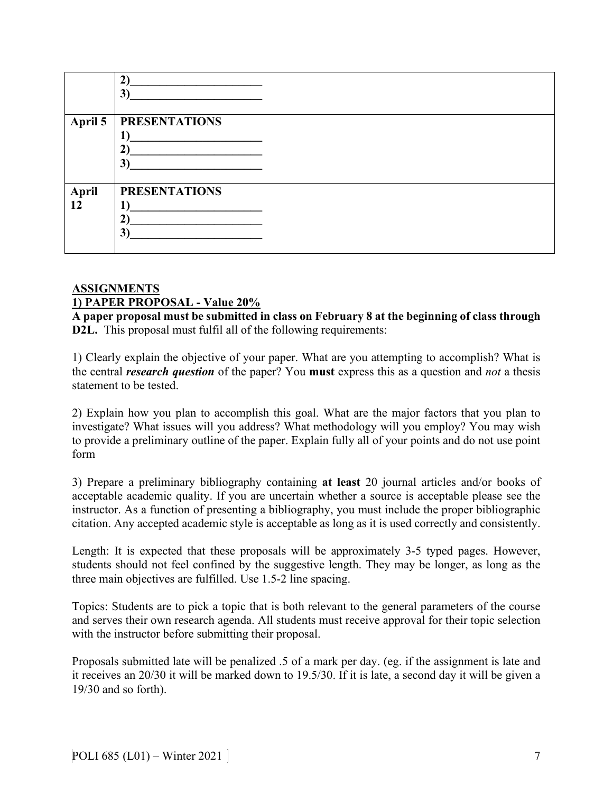|                    | $\mathbf{2}^{\circ}$<br>3)                   |
|--------------------|----------------------------------------------|
| April 5            | <b>PRESENTATIONS</b><br>$\overline{ }$<br>3) |
| <b>April</b><br>12 | <b>PRESENTATIONS</b><br>$\mathbf{3}^{\circ}$ |

#### **ASSIGNMENTS 1) PAPER PROPOSAL - Value 20%**

**A paper proposal must be submitted in class on February 8 at the beginning of class through D2L.** This proposal must fulfil all of the following requirements:

1) Clearly explain the objective of your paper. What are you attempting to accomplish? What is the central *research question* of the paper? You **must** express this as a question and *not* a thesis statement to be tested.

2) Explain how you plan to accomplish this goal. What are the major factors that you plan to investigate? What issues will you address? What methodology will you employ? You may wish to provide a preliminary outline of the paper. Explain fully all of your points and do not use point form

3) Prepare a preliminary bibliography containing **at least** 20 journal articles and/or books of acceptable academic quality. If you are uncertain whether a source is acceptable please see the instructor. As a function of presenting a bibliography, you must include the proper bibliographic citation. Any accepted academic style is acceptable as long as it is used correctly and consistently.

Length: It is expected that these proposals will be approximately 3-5 typed pages. However, students should not feel confined by the suggestive length. They may be longer, as long as the three main objectives are fulfilled. Use 1.5-2 line spacing.

Topics: Students are to pick a topic that is both relevant to the general parameters of the course and serves their own research agenda. All students must receive approval for their topic selection with the instructor before submitting their proposal.

Proposals submitted late will be penalized .5 of a mark per day. (eg. if the assignment is late and it receives an 20/30 it will be marked down to 19.5/30. If it is late, a second day it will be given a 19/30 and so forth).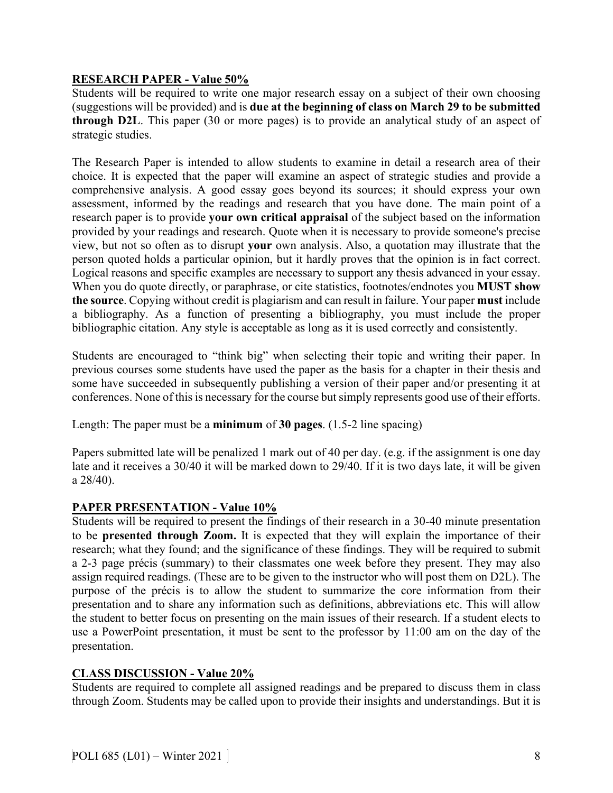# **RESEARCH PAPER - Value 50%**

Students will be required to write one major research essay on a subject of their own choosing (suggestions will be provided) and is **due at the beginning of class on March 29 to be submitted through D2L**. This paper (30 or more pages) is to provide an analytical study of an aspect of strategic studies.

The Research Paper is intended to allow students to examine in detail a research area of their choice. It is expected that the paper will examine an aspect of strategic studies and provide a comprehensive analysis. A good essay goes beyond its sources; it should express your own assessment, informed by the readings and research that you have done. The main point of a research paper is to provide **your own critical appraisal** of the subject based on the information provided by your readings and research. Quote when it is necessary to provide someone's precise view, but not so often as to disrupt **your** own analysis. Also, a quotation may illustrate that the person quoted holds a particular opinion, but it hardly proves that the opinion is in fact correct. Logical reasons and specific examples are necessary to support any thesis advanced in your essay. When you do quote directly, or paraphrase, or cite statistics, footnotes/endnotes you **MUST show the source**. Copying without credit is plagiarism and can result in failure. Your paper **must** include a bibliography. As a function of presenting a bibliography, you must include the proper bibliographic citation. Any style is acceptable as long as it is used correctly and consistently.

Students are encouraged to "think big" when selecting their topic and writing their paper. In previous courses some students have used the paper as the basis for a chapter in their thesis and some have succeeded in subsequently publishing a version of their paper and/or presenting it at conferences. None of this is necessary for the course but simply represents good use of their efforts.

Length: The paper must be a **minimum** of **30 pages**. (1.5-2 line spacing)

Papers submitted late will be penalized 1 mark out of 40 per day. (e.g. if the assignment is one day late and it receives a 30/40 it will be marked down to 29/40. If it is two days late, it will be given a 28/40).

# **PAPER PRESENTATION - Value 10%**

Students will be required to present the findings of their research in a 30-40 minute presentation to be **presented through Zoom.** It is expected that they will explain the importance of their research; what they found; and the significance of these findings. They will be required to submit a 2-3 page précis (summary) to their classmates one week before they present. They may also assign required readings. (These are to be given to the instructor who will post them on D2L). The purpose of the précis is to allow the student to summarize the core information from their presentation and to share any information such as definitions, abbreviations etc. This will allow the student to better focus on presenting on the main issues of their research. If a student elects to use a PowerPoint presentation, it must be sent to the professor by 11:00 am on the day of the presentation.

# **CLASS DISCUSSION - Value 20%**

Students are required to complete all assigned readings and be prepared to discuss them in class through Zoom. Students may be called upon to provide their insights and understandings. But it is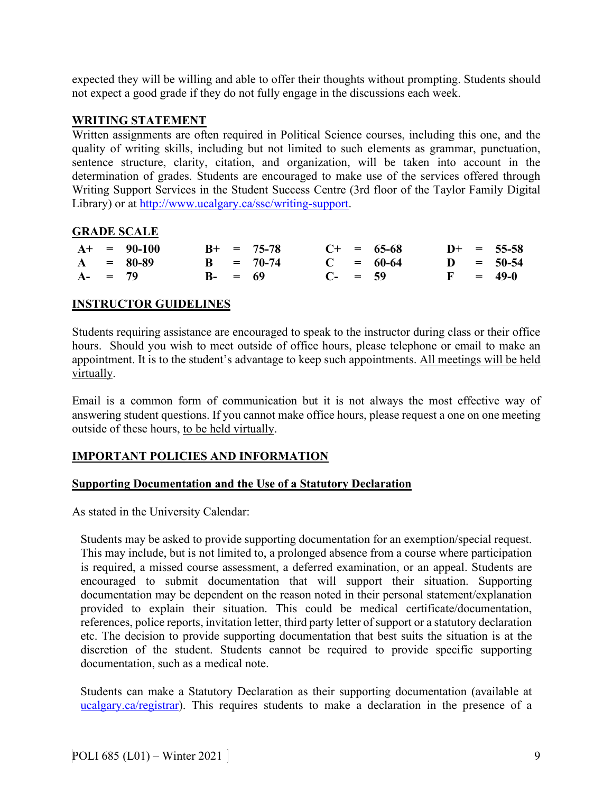expected they will be willing and able to offer their thoughts without prompting. Students should not expect a good grade if they do not fully engage in the discussions each week.

#### **WRITING STATEMENT**

Written assignments are often required in Political Science courses, including this one, and the quality of writing skills, including but not limited to such elements as grammar, punctuation, sentence structure, clarity, citation, and organization, will be taken into account in the determination of grades. Students are encouraged to make use of the services offered through Writing Support Services in the Student Success Centre (3rd floor of the Taylor Family Digital Library) or at [http://www.ucalgary.ca/ssc/writing-support.](http://www.ucalgary.ca/ssc/writing-support)

# **GRADE SCALE**

|            | $A+ = 90-100$ |            | $B+ = 75-78$ |              | $C+ = 65-68$ |  | $D+ = 55-58$ |
|------------|---------------|------------|--------------|--------------|--------------|--|--------------|
|            | $A = 80-89$   |            | $B = 70-74$  |              | $C = 60-64$  |  | $D = 50-54$  |
| $A - = 79$ |               | $B - = 69$ |              | $C_{-}$ = 59 |              |  | $F = 49-0$   |

# **INSTRUCTOR GUIDELINES**

Students requiring assistance are encouraged to speak to the instructor during class or their office hours. Should you wish to meet outside of office hours, please telephone or email to make an appointment. It is to the student's advantage to keep such appointments. All meetings will be held virtually.

Email is a common form of communication but it is not always the most effective way of answering student questions. If you cannot make office hours, please request a one on one meeting outside of these hours, to be held virtually.

# **IMPORTANT POLICIES AND INFORMATION**

# **Supporting Documentation and the Use of a Statutory Declaration**

As stated in the University Calendar:

Students may be asked to provide supporting documentation for an exemption/special request. This may include, but is not limited to, a prolonged absence from a course where participation is required, a missed course assessment, a deferred examination, or an appeal. Students are encouraged to submit documentation that will support their situation. Supporting documentation may be dependent on the reason noted in their personal statement/explanation provided to explain their situation. This could be medical certificate/documentation, references, police reports, invitation letter, third party letter of support or a statutory declaration etc. The decision to provide supporting documentation that best suits the situation is at the discretion of the student. Students cannot be required to provide specific supporting documentation, such as a medical note.

Students can make a Statutory Declaration as their supporting documentation (available at [ucalgary.ca/registrar\)](http://www.ucalgary.ca/registrar). This requires students to make a declaration in the presence of a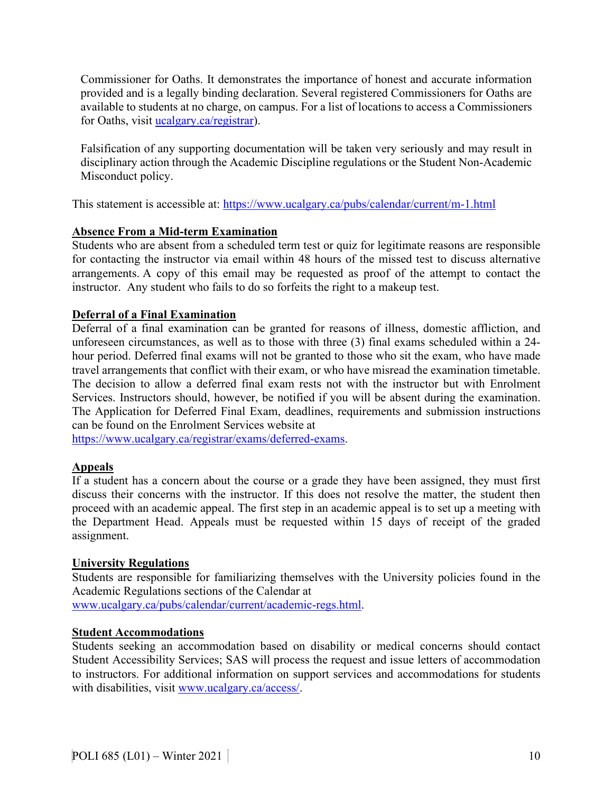Commissioner for Oaths. It demonstrates the importance of honest and accurate information provided and is a legally binding declaration. Several registered Commissioners for Oaths are available to students at no charge, on campus. For a list of locations to access a Commissioners for Oaths, visit *ucalgary.ca/registrar*).

Falsification of any supporting documentation will be taken very seriously and may result in disciplinary action through the Academic Discipline regulations or the Student Non-Academic Misconduct policy.

This statement is accessible at:<https://www.ucalgary.ca/pubs/calendar/current/m-1.html>

# **Absence From a Mid-term Examination**

Students who are absent from a scheduled term test or quiz for legitimate reasons are responsible for contacting the instructor via email within 48 hours of the missed test to discuss alternative arrangements. A copy of this email may be requested as proof of the attempt to contact the instructor. Any student who fails to do so forfeits the right to a makeup test.

# **Deferral of a Final Examination**

Deferral of a final examination can be granted for reasons of illness, domestic affliction, and unforeseen circumstances, as well as to those with three (3) final exams scheduled within a 24 hour period. Deferred final exams will not be granted to those who sit the exam, who have made travel arrangements that conflict with their exam, or who have misread the examination timetable. The decision to allow a deferred final exam rests not with the instructor but with Enrolment Services. Instructors should, however, be notified if you will be absent during the examination. The Application for Deferred Final Exam, deadlines, requirements and submission instructions can be found on the Enrolment Services website at

[https://www.ucalgary.ca/registrar/exams/deferred-exams.](https://www.ucalgary.ca/registrar/exams/deferred-exams)

# **Appeals**

If a student has a concern about the course or a grade they have been assigned, they must first discuss their concerns with the instructor. If this does not resolve the matter, the student then proceed with an academic appeal. The first step in an academic appeal is to set up a meeting with the Department Head. Appeals must be requested within 15 days of receipt of the graded assignment.

# **University Regulations**

Students are responsible for familiarizing themselves with the University policies found in the Academic Regulations sections of the Calendar at

[www.ucalgary.ca/pubs/calendar/current/academic-regs.html.](http://www.ucalgary.ca/pubs/calendar/current/academic-regs.html)

# **Student Accommodations**

Students seeking an accommodation based on disability or medical concerns should contact Student Accessibility Services; SAS will process the request and issue letters of accommodation to instructors. For additional information on support services and accommodations for students with disabilities, visit [www.ucalgary.ca/access/.](http://www.ucalgary.ca/access/)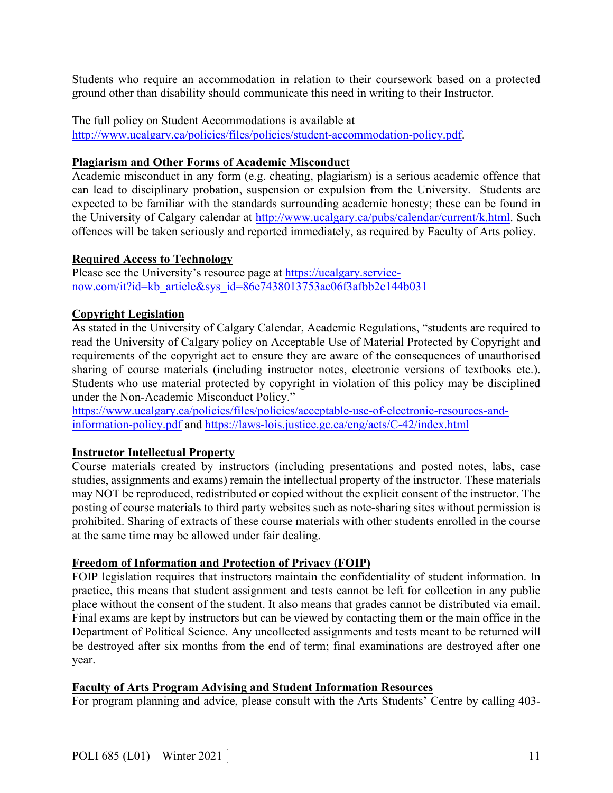Students who require an accommodation in relation to their coursework based on a protected ground other than disability should communicate this need in writing to their Instructor.

The full policy on Student Accommodations is available at

[http://www.ucalgary.ca/policies/files/policies/student-accommodation-policy.pdf.](http://www.ucalgary.ca/policies/files/policies/student-accommodation-policy.pdf)

#### **Plagiarism and Other Forms of Academic Misconduct**

Academic misconduct in any form (e.g. cheating, plagiarism) is a serious academic offence that can lead to disciplinary probation, suspension or expulsion from the University. Students are expected to be familiar with the standards surrounding academic honesty; these can be found in the University of Calgary calendar at [http://www.ucalgary.ca/pubs/calendar/current/k.html.](http://www.ucalgary.ca/pubs/calendar/current/k.html) Such offences will be taken seriously and reported immediately, as required by Faculty of Arts policy.

#### **Required Access to Technology**

Please see the University's resource page at [https://ucalgary.service](https://ucalgary.service-now.com/it?id=kb_article&sys_id=86e7438013753ac06f3afbb2e144b031)[now.com/it?id=kb\\_article&sys\\_id=86e7438013753ac06f3afbb2e144b031](https://ucalgary.service-now.com/it?id=kb_article&sys_id=86e7438013753ac06f3afbb2e144b031)

# **Copyright Legislation**

As stated in the University of Calgary Calendar, Academic Regulations, "students are required to read the University of Calgary policy on Acceptable Use of Material Protected by Copyright and requirements of the copyright act to ensure they are aware of the consequences of unauthorised sharing of course materials (including instructor notes, electronic versions of textbooks etc.). Students who use material protected by copyright in violation of this policy may be disciplined under the Non-Academic Misconduct Policy."

[https://www.ucalgary.ca/policies/files/policies/acceptable-use-of-electronic-resources-and](https://www.ucalgary.ca/policies/files/policies/acceptable-use-of-electronic-resources-and-information-policy.pdf)[information-policy.pdf](https://www.ucalgary.ca/policies/files/policies/acceptable-use-of-electronic-resources-and-information-policy.pdf) and<https://laws-lois.justice.gc.ca/eng/acts/C-42/index.html>

# **Instructor Intellectual Property**

Course materials created by instructors (including presentations and posted notes, labs, case studies, assignments and exams) remain the intellectual property of the instructor. These materials may NOT be reproduced, redistributed or copied without the explicit consent of the instructor. The posting of course materials to third party websites such as note-sharing sites without permission is prohibited. Sharing of extracts of these course materials with other students enrolled in the course at the same time may be allowed under fair dealing.

# **Freedom of Information and Protection of Privacy (FOIP)**

FOIP legislation requires that instructors maintain the confidentiality of student information. In practice, this means that student assignment and tests cannot be left for collection in any public place without the consent of the student. It also means that grades cannot be distributed via email. Final exams are kept by instructors but can be viewed by contacting them or the main office in the Department of Political Science. Any uncollected assignments and tests meant to be returned will be destroyed after six months from the end of term; final examinations are destroyed after one year.

# **Faculty of Arts Program Advising and Student Information Resources**

For program planning and advice, please consult with the Arts Students' Centre by calling 403-